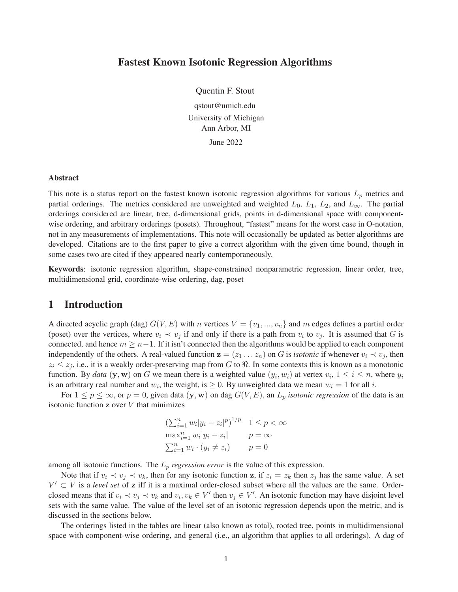#### Fastest Known Isotonic Regression Algorithms

Quentin F. Stout qstout@umich.edu University of Michigan Ann Arbor, MI

June 2022

#### Abstract

This note is a status report on the fastest known isotonic regression algorithms for various  $L_p$  metrics and partial orderings. The metrics considered are unweighted and weighted  $L_0$ ,  $L_1$ ,  $L_2$ , and  $L_{\infty}$ . The partial orderings considered are linear, tree, d-dimensional grids, points in d-dimensional space with componentwise ordering, and arbitrary orderings (posets). Throughout, "fastest" means for the worst case in O-notation, not in any measurements of implementations. This note will occasionally be updated as better algorithms are developed. Citations are to the first paper to give a correct algorithm with the given time bound, though in some cases two are cited if they appeared nearly contemporaneously.

Keywords: isotonic regression algorithm, shape-constrained nonparametric regression, linear order, tree, multidimensional grid, coordinate-wise ordering, dag, poset

#### 1 Introduction

A directed acyclic graph (dag)  $G(V, E)$  with n vertices  $V = \{v_1, ..., v_n\}$  and m edges defines a partial order (poset) over the vertices, where  $v_i \prec v_j$  if and only if there is a path from  $v_i$  to  $v_j$ . It is assumed that G is connected, and hence  $m \geq n-1$ . If it isn't connected then the algorithms would be applied to each component independently of the others. A real-valued function  $z = (z_1 \dots z_n)$  on G is *isotonic* if whenever  $v_i \prec v_j$ , then  $z_i \leq z_j$ , i.e., it is a weakly order-preserving map from G to R. In some contexts this is known as a monotonic function. By *data* (y, w) on G we mean there is a weighted value  $(y_i, w_i)$  at vertex  $v_i$ ,  $1 \le i \le n$ , where  $y_i$ is an arbitrary real number and  $w_i$ , the weight, is  $\geq 0$ . By unweighted data we mean  $w_i = 1$  for all i.

For  $1 \le p \le \infty$ , or  $p = 0$ , given data  $(y, w)$  on dag  $G(V, E)$ , an  $L_p$  *isotonic regression* of the data is an isotonic function  $z$  over  $V$  that minimizes

$$
\left(\sum_{i=1}^{n} w_i |y_i - z_i|^p\right)^{1/p} \quad 1 \le p < \infty
$$

$$
\max_{i=1}^{n} w_i |y_i - z_i| \qquad p = \infty
$$

$$
\sum_{i=1}^{n} w_i \cdot (y_i \ne z_i) \qquad p = 0
$$

among all isotonic functions. The  $L_p$  *regression error* is the value of this expression.

Note that if  $v_i \prec v_j \prec v_k$ , then for any isotonic function z, if  $z_i = z_k$  then  $z_j$  has the same value. A set  $V' \subset V$  is a *level set* of z iff it is a maximal order-closed subset where all the values are the same. Orderclosed means that if  $v_i \prec v_j \prec v_k$  and  $v_i, v_k \in V'$  then  $v_j \in V'$ . An isotonic function may have disjoint level sets with the same value. The value of the level set of an isotonic regression depends upon the metric, and is discussed in the sections below.

The orderings listed in the tables are linear (also known as total), rooted tree, points in multidimensional space with component-wise ordering, and general (i.e., an algorithm that applies to all orderings). A dag of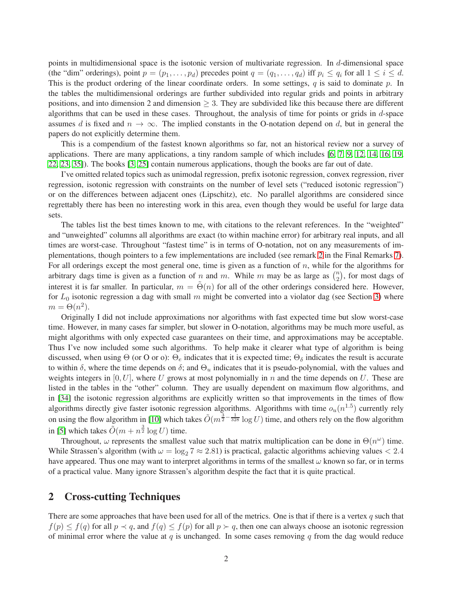points in multidimensional space is the isotonic version of multivariate regression. In  $d$ -dimensional space (the "dim" orderings), point  $p = (p_1, \ldots, p_d)$  precedes point  $q = (q_1, \ldots, q_d)$  iff  $p_i \leq q_i$  for all  $1 \leq i \leq d$ . This is the product ordering of the linear coordinate orders. In some settings,  $q$  is said to dominate  $p$ . In the tables the multidimensional orderings are further subdivided into regular grids and points in arbitrary positions, and into dimension 2 and dimension  $> 3$ . They are subdivided like this because there are different algorithms that can be used in these cases. Throughout, the analysis of time for points or grids in d-space assumes d is fixed and  $n \to \infty$ . The implied constants in the O-notation depend on d, but in general the papers do not explicitly determine them.

This is a compendium of the fastest known algorithms so far, not an historical review nor a survey of applications. There are many applications, a tiny random sample of which includes [\[6,](#page-8-0) [7,](#page-8-1) [9,](#page-8-2) [12,](#page-8-3) [14,](#page-8-4) [16,](#page-8-5) [19,](#page-8-6) [22,](#page-9-0) [23,](#page-9-1) [35\]](#page-9-2)). The books [\[3,](#page-8-7) [25\]](#page-9-3) contain numerous applications, though the books are far out of date.

I've omitted related topics such as unimodal regression, prefix isotonic regression, convex regression, river regression, isotonic regression with constraints on the number of level sets ("reduced isotonic regression") or on the differences between adjacent ones (Lipschitz), etc. No parallel algorithms are considered since regrettably there has been no interesting work in this area, even though they would be useful for large data sets.

The tables list the best times known to me, with citations to the relevant references. In the "weighted" and "unweighted" columns all algorithms are exact (to within machine error) for arbitrary real inputs, and all times are worst-case. Throughout "fastest time" is in terms of O-notation, not on any measurements of implementations, though pointers to a few implementations are included (see remark [2](#page-7-0) in the Final Remarks [7\)](#page-6-0). For all orderings except the most general one, time is given as a function of  $n$ , while for the algorithms for arbitrary dags time is given as a function of n and m. While m may be as large as  $\binom{n}{2}$ , for most dags of interest it is far smaller. In particular,  $m = \Theta(n)$  for all of the other orderings considered here. However, for  $L_0$  isotonic regression a dag with small m might be converted into a violator dag (see Section [3\)](#page-3-0) where  $m = \Theta(n^2)$ .

Originally I did not include approximations nor algorithms with fast expected time but slow worst-case time. However, in many cases far simpler, but slower in O-notation, algorithms may be much more useful, as might algorithms with only expected case guarantees on their time, and approximations may be acceptable. Thus I've now included some such algorithms. To help make it clearer what type of algorithm is being discussed, when using Θ (or O or o):  $\Theta_e$  indicates that it is expected time;  $\Theta_\delta$  indicates the result is accurate to within  $\delta$ , where the time depends on  $\delta$ ; and  $\Theta_u$  indicates that it is pseudo-polynomial, with the values and weights integers in  $[0, U]$ , where U grows at most polynomially in n and the time depends on U. These are listed in the tables in the "other" column. They are usually dependent on maximum flow algorithms, and in [\[34\]](#page-9-4) the isotonic regression algorithms are explicitly written so that improvements in the times of flow algorithms directly give faster isotonic regression algorithms. Algorithms with time  $o_u(n^{1.5})$  currently rely on using the flow algorithm in [\[10\]](#page-8-8) which takes  $\tilde{O}(m^{\frac{3}{2}-\frac{1}{328}} \log U)$  time, and others rely on the flow algorithm in [\[5\]](#page-8-9) which takes  $\tilde{O}(m + n^{\frac{3}{2}} \log U)$  time.

Throughout,  $\omega$  represents the smallest value such that matrix multiplication can be done in  $\Theta(n^{\omega})$  time. While Strassen's algorithm (with  $\omega = \log_2 7 \approx 2.81$ ) is practical, galactic algorithms achieving values  $\lt 2.4$ have appeared. Thus one may want to interpret algorithms in terms of the smallest  $\omega$  known so far, or in terms of a practical value. Many ignore Strassen's algorithm despite the fact that it is quite practical.

## <span id="page-1-0"></span>2 Cross-cutting Techniques

There are some approaches that have been used for all of the metrics. One is that if there is a vertex  $q$  such that  $f(p) \le f(q)$  for all  $p \prec q$ , and  $f(q) \le f(p)$  for all  $p \succ q$ , then one can always choose an isotonic regression of minimal error where the value at  $q$  is unchanged. In some cases removing  $q$  from the dag would reduce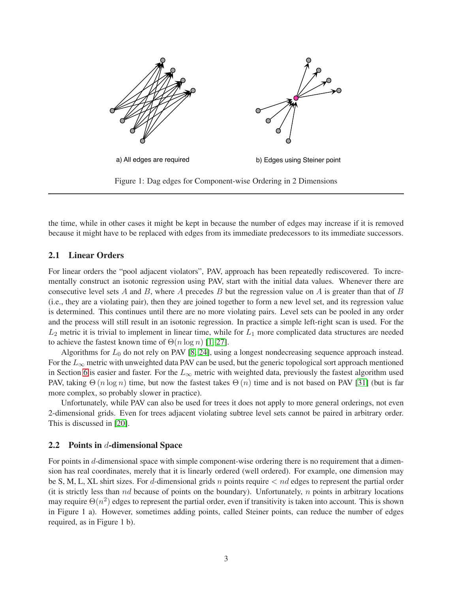

the time, while in other cases it might be kept in because the number of edges may increase if it is removed because it might have to be replaced with edges from its immediate predecessors to its immediate successors.

#### 2.1 Linear Orders

For linear orders the "pool adjacent violators", PAV, approach has been repeatedly rediscovered. To incrementally construct an isotonic regression using PAV, start with the initial data values. Whenever there are consecutive level sets A and B, where A precedes B but the regression value on A is greater than that of B (i.e., they are a violating pair), then they are joined together to form a new level set, and its regression value is determined. This continues until there are no more violating pairs. Level sets can be pooled in any order and the process will still result in an isotonic regression. In practice a simple left-right scan is used. For the  $L_2$  metric it is trivial to implement in linear time, while for  $L_1$  more complicated data structures are needed to achieve the fastest known time of  $\Theta(n \log n)$  [\[1,](#page-7-1) [27\]](#page-9-5).

Algorithms for  $L_0$  do not rely on PAV [\[8,](#page-8-10) [24\]](#page-9-6), using a longest nondecreasing sequence approach instead. For the  $L_{\infty}$  metric with unweighted data PAV can be used, but the generic topological sort approach mentioned in Section [6](#page-5-0) is easier and faster. For the  $L_{\infty}$  metric with weighted data, previously the fastest algorithm used PAV, taking  $\Theta(n \log n)$  time, but now the fastest takes  $\Theta(n)$  time and is not based on PAV [\[31\]](#page-9-7) (but is far more complex, so probably slower in practice).

Unfortunately, while PAV can also be used for trees it does not apply to more general orderings, not even 2-dimensional grids. Even for trees adjacent violating subtree level sets cannot be paired in arbitrary order. This is discussed in [\[20\]](#page-9-8).

#### 2.2 Points in  $d$ -dimensional Space

For points in d-dimensional space with simple component-wise ordering there is no requirement that a dimension has real coordinates, merely that it is linearly ordered (well ordered). For example, one dimension may be S, M, L, XL shirt sizes. For d-dimensional grids n points require  $\lt$  nd edges to represent the partial order (it is strictly less than  $nd$  because of points on the boundary). Unfortunately,  $n$  points in arbitrary locations may require  $\Theta(n^2)$  edges to represent the partial order, even if transitivity is taken into account. This is shown in Figure 1 a). However, sometimes adding points, called Steiner points, can reduce the number of edges required, as in Figure 1 b).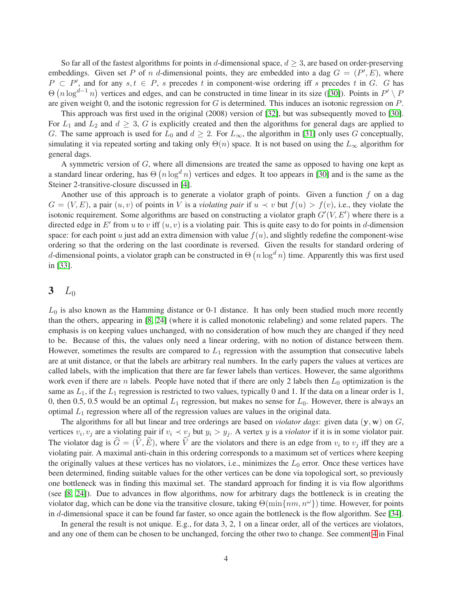So far all of the fastest algorithms for points in d-dimensional space,  $d > 3$ , are based on order-preserving embeddings. Given set P of n d-dimensional points, they are embedded into a dag  $G = (P', E)$ , where  $P \subset P'$ , and for any  $s, t \in P$ , s precedes t in component-wise ordering iff s precedes t in G. G has  $\Theta(n \log^{d-1} n)$  vertices and edges, and can be constructed in time linear in its size ([\[30\]](#page-9-9)). Points in  $P' \setminus P$ are given weight 0, and the isotonic regression for G is determined. This induces an isotonic regression on  $P$ .

This approach was first used in the original (2008) version of [\[32\]](#page-9-10), but was subsequently moved to [\[30\]](#page-9-9). For  $L_1$  and  $L_2$  and  $d \geq 3$ , G is explicitly created and then the algorithms for general dags are applied to G. The same approach is used for  $L_0$  and  $d \geq 2$ . For  $L_{\infty}$ , the algorithm in [\[31\]](#page-9-7) only uses G conceptually, simulating it via repeated sorting and taking only  $\Theta(n)$  space. It is not based on using the  $L_{\infty}$  algorithm for general dags.

A symmetric version of G, where all dimensions are treated the same as opposed to having one kept as a standard linear ordering, has  $\Theta(n \log^d n)$  vertices and edges. It too appears in [\[30\]](#page-9-9) and is the same as the Steiner 2-transitive-closure discussed in [\[4\]](#page-8-11).

Another use of this approach is to generate a violator graph of points. Given a function  $f$  on a dag  $G = (V, E)$ , a pair  $(u, v)$  of points in V is a *violating pair* if  $u \prec v$  but  $f(u) > f(v)$ , i.e., they violate the isotonic requirement. Some algorithms are based on constructing a violator graph  $G'(V, E')$  where there is a directed edge in E' from u to v iff  $(u, v)$  is a violating pair. This is quite easy to do for points in d-dimension space: for each point  $u$  just add an extra dimension with value  $f(u)$ , and slightly redefine the component-wise ordering so that the ordering on the last coordinate is reversed. Given the results for standard ordering of d-dimensional points, a violator graph can be constructed in  $\Theta(n \log^d n)$  time. Apparently this was first used in [\[33\]](#page-9-11).

### <span id="page-3-0"></span>3  $L_0$

 $L_0$  is also known as the Hamming distance or 0-1 distance. It has only been studied much more recently than the others, appearing in [\[8,](#page-8-10) [24\]](#page-9-6) (where it is called monotonic relabeling) and some related papers. The emphasis is on keeping values unchanged, with no consideration of how much they are changed if they need to be. Because of this, the values only need a linear ordering, with no notion of distance between them. However, sometimes the results are compared to  $L_1$  regression with the assumption that consecutive labels are at unit distance, or that the labels are arbitrary real numbers. In the early papers the values at vertices are called labels, with the implication that there are far fewer labels than vertices. However, the same algorithms work even if there are n labels. People have noted that if there are only 2 labels then  $L_0$  optimization is the same as  $L_1$ , if the  $L_1$  regression is restricted to two values, typically 0 and 1. If the data on a linear order is 1, 0, then 0.5, 0.5 would be an optimal  $L_1$  regression, but makes no sense for  $L_0$ . However, there is always an optimal  $L_1$  regression where all of the regression values are values in the original data.

The algorithms for all but linear and tree orderings are based on *violator dags*: given data  $(y, w)$  on  $G$ , vertices  $v_i, v_j$  are a violating pair if  $v_i \prec v_j$  but  $y_i > y_j$ . A vertex y is a *violator* if it is in some violator pair. The violator dag is  $G = (V, E)$ , where V are the violators and there is an edge from  $v_i$  to  $v_j$  iff they are a violating pair. A maximal anti-chain in this ordering corresponds to a maximum set of vertices where keeping the originally values at these vertices has no violators, i.e., minimizes the  $L_0$  error. Once these vertices have been determined, finding suitable values for the other vertices can be done via topological sort, so previously one bottleneck was in finding this maximal set. The standard approach for finding it is via flow algorithms (see [\[8,](#page-8-10) [24\]](#page-9-6)). Due to advances in flow algorithms, now for arbitrary dags the bottleneck is in creating the violator dag, which can be done via the transitive closure, taking  $\Theta(\min\{nm, n^\omega\})$  time. However, for points in d-dimensional space it can be found far faster, so once again the bottleneck is the flow algorithm. See [\[34\]](#page-9-4).

In general the result is not unique. E.g., for data 3, 2, 1 on a linear order, all of the vertices are violators, and any one of them can be chosen to be unchanged, forcing the other two to change. See comment [4](#page-7-2) in Final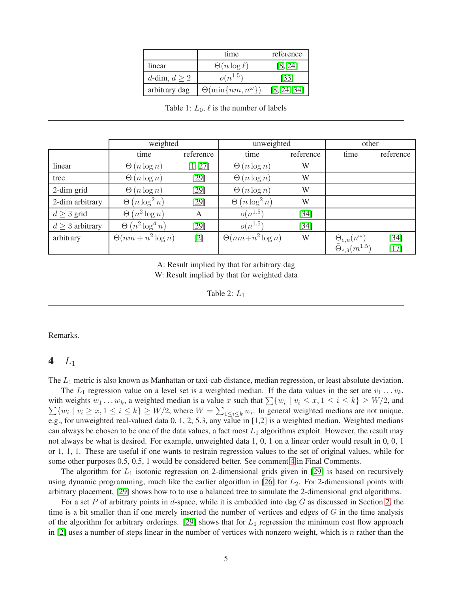|                   | time                            | reference   |
|-------------------|---------------------------------|-------------|
| linear            | $\Theta(n \log \ell)$           | [8, 24]     |
| d-dim, $d \geq 2$ | $o(n^{1.5})$                    | [33]        |
| arbitrary dag     | $\Theta(\min\{nm,n^{\omega}\})$ | [8, 24, 34] |

Table 1:  $L_0$ ,  $\ell$  is the number of labels

|                      | weighted                  |           | unweighted                 | other     |                                      |           |
|----------------------|---------------------------|-----------|----------------------------|-----------|--------------------------------------|-----------|
|                      | time                      | reference | time                       | reference | time                                 | reference |
| linear               | $\Theta(n \log n)$        | [1, 27]   | $\Theta(n \log n)$         | W         |                                      |           |
| tree                 | $\Theta(n \log n)$        | [29]      | $\Theta(n \log n)$         | W         |                                      |           |
| 2-dim grid           | $\Theta(n \log n)$        | $[29]$    | $\Theta(n \log n)$         | W         |                                      |           |
| 2-dim arbitrary      | $(n \log^2 n)$<br>Θ       | [29]      | $(n \log^2 n)$<br>$\Theta$ | W         |                                      |           |
| $d \geq 3$ grid      | $\Theta(n^2 \log n)$      | A         | $o(n^{1.5})$               | $[34]$    |                                      |           |
| $d \geq 3$ arbitrary | $(n^2 \log^d n)$<br>Θ     | [29]      | $o(n^{1.5})$               | $[34]$    |                                      |           |
| arbitrary            | $\Theta(nm + n^2 \log n)$ | $[2]$     | $\Theta(nm+n^2\log n)$     | W         | $\Theta_{e,u}(n^{\omega})$           | $[34]$    |
|                      |                           |           |                            |           | $\tilde{\Theta}_{e,\delta}(m^{1.5})$ | $[17]$    |

A: Result implied by that for arbitrary dag W: Result implied by that for weighted data

Table 2:  $L_1$ 

Remarks.

## 4  $L_1$

The  $L_1$  metric is also known as Manhattan or taxi-cab distance, median regression, or least absolute deviation.

The  $L_1$  regression value on a level set is a weighted median. If the data values in the set are  $v_1 \ldots v_k$ , with weights  $w_1 \dots w_k$ , a weighted median is a value x such that  $\sum \{w_i \mid v_i \leq x, 1 \leq i \leq k\} \geq W/2$ , and  $\sum \{w_i \mid v_i \geq x, 1 \leq i \leq k\} \geq W/2$ , where  $W = \sum_{1 \leq i \leq k} w_i$ . In general weighted medians are not unique, e.g., for unweighted real-valued data 0, 1, 2, 5.3, any value in [1,2] is a weighted median. Weighted medians can always be chosen to be one of the data values, a fact most  $L_1$  algorithms exploit. However, the result may not always be what is desired. For example, unweighted data 1, 0, 1 on a linear order would result in 0, 0, 1 or 1, 1, 1. These are useful if one wants to restrain regression values to the set of original values, while for some other purposes 0.5, 0.5, 1 would be considered better. See comment [4](#page-7-2) in Final Comments.

The algorithm for  $L_1$  isotonic regression on 2-dimensional grids given in [\[29\]](#page-9-12) is based on recursively using dynamic programming, much like the earlier algorithm in [\[26\]](#page-9-13) for  $L_2$ . For 2-dimensional points with arbitrary placement, [\[29\]](#page-9-12) shows how to to use a balanced tree to simulate the 2-dimensional grid algorithms.

For a set P of arbitrary points in d-space, while it is embedded into dag  $G$  as discussed in Section [2,](#page-1-0) the time is a bit smaller than if one merely inserted the number of vertices and edges of G in the time analysis of the algorithm for arbitrary orderings. [\[29\]](#page-9-12) shows that for  $L_1$  regression the minimum cost flow approach in [\[2\]](#page-8-12) uses a number of steps linear in the number of vertices with nonzero weight, which is n rather than the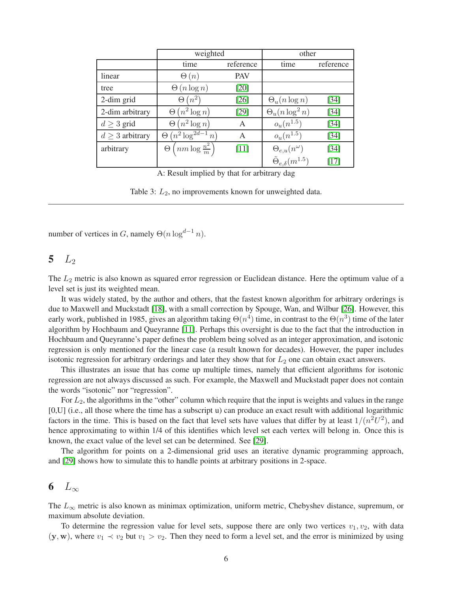|                      | weighted                                 |            | other                                |           |  |
|----------------------|------------------------------------------|------------|--------------------------------------|-----------|--|
|                      | time                                     | reference  | time                                 | reference |  |
| linear               | $\Theta(n)$                              | <b>PAV</b> |                                      |           |  |
| tree                 | $\Theta(n \log n)$                       | $[20]$     |                                      |           |  |
| 2-dim grid           | $(n^2)$<br>$\Theta$                      | $[26]$     | $\Theta_u(n \log n)$                 | $[34]$    |  |
| 2-dim arbitrary      | $(n^2 \log n)$<br>Θ                      | $[29]$     | $\Theta_u(n\log^2 n)$                | [34]      |  |
| $d \geq 3$ grid      | $(n^2 \log n)$<br>Θ                      | A          | $o_u(n^{1.5})$                       | [34]      |  |
| $d \geq 3$ arbitrary | $(n^2 \log^{2d-1} n)$<br>Θ               | А          | $o_u(n^{1.5})$                       | [34]      |  |
| arbitrary            | $\Theta\left(nm\log\frac{n^2}{m}\right)$ | $[11]$     | $\Theta_{e,u}(n^{\omega})$           | [34]      |  |
|                      |                                          |            | $\tilde{\Theta}_{e,\delta}(m^{1.5})$ | $[17]$    |  |

A: Result implied by that for arbitrary dag

Table 3:  $L_2$ , no improvements known for unweighted data.

number of vertices in G, namely  $\Theta(n \log^{d-1} n)$ .

## 5  $L_2$

The  $L_2$  metric is also known as squared error regression or Euclidean distance. Here the optimum value of a level set is just its weighted mean.

It was widely stated, by the author and others, that the fastest known algorithm for arbitrary orderings is due to Maxwell and Muckstadt [\[18\]](#page-8-15), with a small correction by Spouge, Wan, and Wilbur [\[26\]](#page-9-13). However, this early work, published in 1985, gives an algorithm taking  $\Theta(n^4)$  time, in contrast to the  $\Theta(n^3)$  time of the later algorithm by Hochbaum and Queyranne [\[11\]](#page-8-14). Perhaps this oversight is due to the fact that the introduction in Hochbaum and Queyranne's paper defines the problem being solved as an integer approximation, and isotonic regression is only mentioned for the linear case (a result known for decades). However, the paper includes isotonic regression for arbitrary orderings and later they show that for  $L_2$  one can obtain exact answers.

This illustrates an issue that has come up multiple times, namely that efficient algorithms for isotonic regression are not always discussed as such. For example, the Maxwell and Muckstadt paper does not contain the words "isotonic" nor "regression".

For  $L_2$ , the algorithms in the "other" column which require that the input is weights and values in the range [0,U] (i.e., all those where the time has a subscript u) can produce an exact result with additional logarithmic factors in the time. This is based on the fact that level sets have values that differ by at least  $1/(n^2U^2)$ , and hence approximating to within 1/4 of this identifies which level set each vertex will belong in. Once this is known, the exact value of the level set can be determined. See [\[29\]](#page-9-12).

The algorithm for points on a 2-dimensional grid uses an iterative dynamic programming approach, and [\[29\]](#page-9-12) shows how to simulate this to handle points at arbitrary positions in 2-space.

# <span id="page-5-0"></span>6  $L_{\infty}$

The  $L_{\infty}$  metric is also known as minimax optimization, uniform metric, Chebyshev distance, supremum, or maximum absolute deviation.

To determine the regression value for level sets, suppose there are only two vertices  $v_1, v_2$ , with data  $(y, w)$ , where  $v_1 \prec v_2$  but  $v_1 > v_2$ . Then they need to form a level set, and the error is minimized by using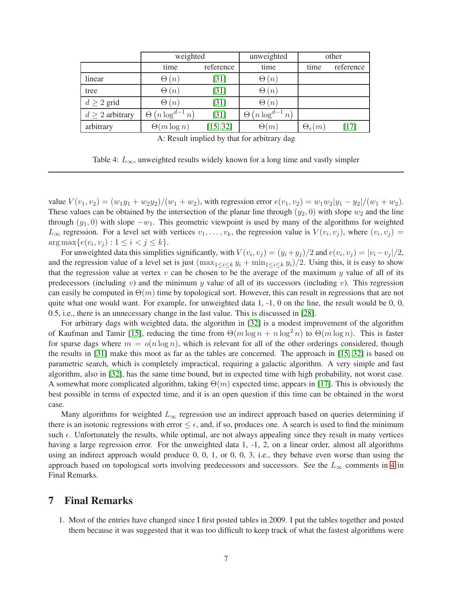|                      | weighted                 |           | unweighted              | other         |           |
|----------------------|--------------------------|-----------|-------------------------|---------------|-----------|
|                      | time                     | reference | time                    | time          | reference |
| linear               | $\Theta(n)$              | $[31]$    | $\Theta(n)$             |               |           |
| tree                 | $\Theta(n)$              | $[31]$    | $\Theta(n)$             |               |           |
| $d \geq 2$ grid      | $\Theta(n)$              | $[31]$    | $\Theta(n)$             |               |           |
| $d \geq 2$ arbitrary | $\Theta(n \log^{d-1} n)$ | $[31]$    | $(n \log^{d-1} n)$<br>Θ |               |           |
| arbitrary            | $\Theta(m \log n)$       | [15, 32]  | $\Theta(m)$             | $\Theta_e(m)$ | [17]      |

A: Result implied by that for arbitrary dag

Table 4:  $L_{\infty}$ , unweighted results widely known for a long time and vastly simpler

value  $V(v_1, v_2) = (w_1y_1 + w_2y_2)/(w_1 + w_2)$ , with regression error  $e(v_1, v_2) = w_1w_2|y_1 - y_2|/(w_1 + w_2)$ . These values can be obtained by the intersection of the planar line through  $(y_2, 0)$  with slope  $w_2$  and the line through  $(y_1, 0)$  with slope  $-w_1$ . This geometric viewpoint is used by many of the algorithms for weighted  $L_{\infty}$  regression. For a level set with vertices  $v_1, \ldots, v_k$ , the regression value is  $V(v_i, v_j)$ , where  $(v_i, v_j)$  =  $\arg \max \{e(v_i, v_j) : 1 \le i < j \le k\}.$ 

For unweighted data this simplifies significantly, with  $V(v_i, v_j) = (y_i + y_j)/2$  and  $e(v_i, v_j) = |v_i - v_j|/2$ , and the regression value of a level set is just  $(\max_{1 \leq i \leq k} y_i + \min_{1 \leq i \leq k} y_i)/2$ . Using this, it is easy to show that the regression value at vertex  $v$  can be chosen to be the average of the maximum  $y$  value of all of its predecessors (including v) and the minimum y value of all of its successors (including v). This regression can easily be computed in  $\Theta(m)$  time by topological sort. However, this can result in regressions that are not quite what one would want. For example, for unweighted data  $1, -1, 0$  on the line, the result would be  $0, 0$ , 0.5, i.e., there is an unnecessary change in the last value. This is discussed in [\[28\]](#page-9-14).

For arbitrary dags with weighted data, the algorithm in [\[32\]](#page-9-10) is a modest improvement of the algorithm of Kaufman and Tamir [\[15\]](#page-8-16), reducing the time from  $\Theta(m \log n + n \log^2 n)$  to  $\Theta(m \log n)$ . This is faster for sparse dags where  $m = o(n \log n)$ , which is relevant for all of the other orderings considered, though the results in [\[31\]](#page-9-7) make this moot as far as the tables are concerned. The approach in [\[15,](#page-8-16) [32\]](#page-9-10) is based on parametric search, which is completely impractical, requiring a galactic algorithm. A very simple and fast algorithm, also in [\[32\]](#page-9-10), has the same time bound, but in expected time with high probability, not worst case. A somewhat more complicated algorithm, taking  $\Theta(m)$  expected time, appears in [\[17\]](#page-8-13). This is obviously the best possible in terms of expected time, and it is an open question if this time can be obtained in the worst case.

Many algorithms for weighted  $L_{\infty}$  regression use an indirect approach based on queries determining if there is an isotonic regressions with error  $\leq \epsilon$ , and, if so, produces one. A search is used to find the minimum such  $\epsilon$ . Unfortunately the results, while optimal, are not always appealing since they result in many vertices having a large regression error. For the unweighted data 1, -1, 2, on a linear order, almost all algorithms using an indirect approach would produce 0, 0, 1, or 0, 0, 3, i.e., they behave even worse than using the approach based on topological sorts involving predecessors and successors. See the  $L_{\infty}$  comments in [4](#page-7-2) in Final Remarks.

### <span id="page-6-0"></span>7 Final Remarks

1. Most of the entries have changed since I first posted tables in 2009. I put the tables together and posted them because it was suggested that it was too difficult to keep track of what the fastest algorithms were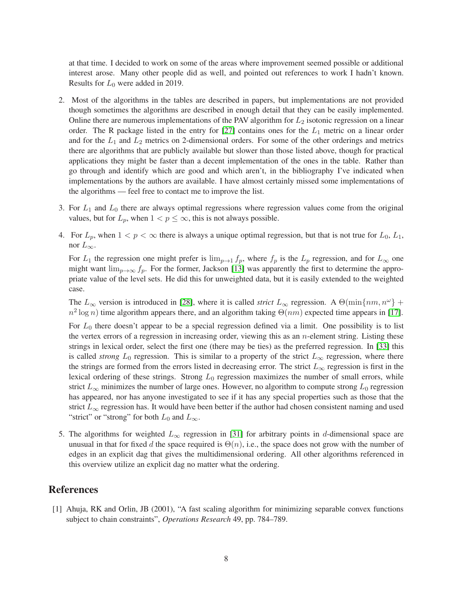at that time. I decided to work on some of the areas where improvement seemed possible or additional interest arose. Many other people did as well, and pointed out references to work I hadn't known. Results for  $L_0$  were added in 2019.

- <span id="page-7-0"></span>2. Most of the algorithms in the tables are described in papers, but implementations are not provided though sometimes the algorithms are described in enough detail that they can be easily implemented. Online there are numerous implementations of the PAV algorithm for  $L_2$  isotonic regression on a linear order. The R package listed in the entry for [\[27\]](#page-9-5) contains ones for the  $L_1$  metric on a linear order and for the  $L_1$  and  $L_2$  metrics on 2-dimensional orders. For some of the other orderings and metrics there are algorithms that are publicly available but slower than those listed above, though for practical applications they might be faster than a decent implementation of the ones in the table. Rather than go through and identify which are good and which aren't, in the bibliography I've indicated when implementations by the authors are available. I have almost certainly missed some implementations of the algorithms — feel free to contact me to improve the list.
- <span id="page-7-2"></span>3. For  $L_1$  and  $L_0$  there are always optimal regressions where regression values come from the original values, but for  $L_p$ , when  $1 < p \leq \infty$ , this is not always possible.
- 4. For  $L_p$ , when  $1 < p < \infty$  there is always a unique optimal regression, but that is not true for  $L_0, L_1$ , nor  $L_{\infty}$ .

For  $L_1$  the regression one might prefer is  $\lim_{p\to 1} f_p$ , where  $f_p$  is the  $L_p$  regression, and for  $L_\infty$  one might want  $\lim_{p\to\infty} f_p$ . For the former, Jackson [\[13\]](#page-8-17) was apparently the first to determine the appropriate value of the level sets. He did this for unweighted data, but it is easily extended to the weighted case.

The  $L_{\infty}$  version is introduced in [\[28\]](#page-9-14), where it is called *strict*  $L_{\infty}$  regression. A  $\Theta(\min\{nm, n^{\omega}\} +$  $n^2 \log n$ ) time algorithm appears there, and an algorithm taking  $\Theta(nm)$  expected time appears in [\[17\]](#page-8-13).

For  $L_0$  there doesn't appear to be a special regression defined via a limit. One possibility is to list the vertex errors of a regression in increasing order, viewing this as an  $n$ -element string. Listing these strings in lexical order, select the first one (there may be ties) as the preferred regression. In [\[33\]](#page-9-11) this is called *strong*  $L_0$  regression. This is similar to a property of the strict  $L_{\infty}$  regression, where there the strings are formed from the errors listed in decreasing error. The strict  $L_{\infty}$  regression is first in the lexical ordering of these strings. Strong  $L_0$  regression maximizes the number of small errors, while strict  $L_{\infty}$  minimizes the number of large ones. However, no algorithm to compute strong  $L_0$  regression has appeared, nor has anyone investigated to see if it has any special properties such as those that the strict  $L_{\infty}$  regression has. It would have been better if the author had chosen consistent naming and used "strict" or "strong" for both  $L_0$  and  $L_{\infty}$ .

5. The algorithms for weighted  $L_{\infty}$  regression in [\[31\]](#page-9-7) for arbitrary points in d-dimensional space are unusual in that for fixed d the space required is  $\Theta(n)$ , i.e., the space does not grow with the number of edges in an explicit dag that gives the multidimensional ordering. All other algorithms referenced in this overview utilize an explicit dag no matter what the ordering.

## <span id="page-7-1"></span>References

[1] Ahuja, RK and Orlin, JB (2001), "A fast scaling algorithm for minimizing separable convex functions subject to chain constraints", *Operations Research* 49, pp. 784–789.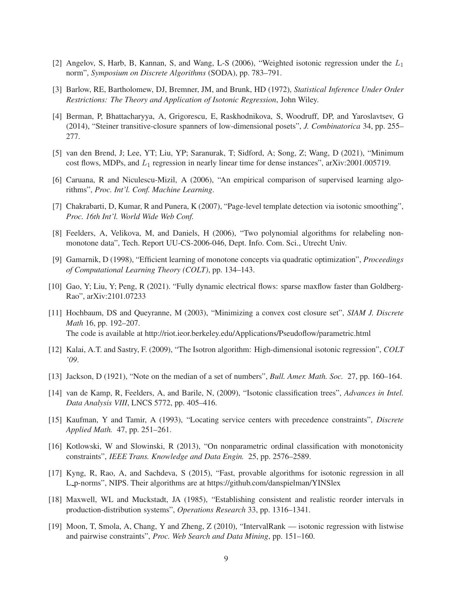- <span id="page-8-12"></span><span id="page-8-7"></span>[2] Angelov, S, Harb, B, Kannan, S, and Wang, L-S (2006), "Weighted isotonic regression under the L1 norm", *Symposium on Discrete Algorithms* (SODA), pp. 783–791.
- <span id="page-8-11"></span>[3] Barlow, RE, Bartholomew, DJ, Bremner, JM, and Brunk, HD (1972), *Statistical Inference Under Order Restrictions: The Theory and Application of Isotonic Regression*, John Wiley.
- [4] Berman, P, Bhattacharyya, A, Grigorescu, E, Raskhodnikova, S, Woodruff, DP, and Yaroslavtsev, G (2014), "Steiner transitive-closure spanners of low-dimensional posets", *J. Combinatorica* 34, pp. 255– 277.
- <span id="page-8-9"></span><span id="page-8-0"></span>[5] van den Brend, J; Lee, YT; Liu, YP; Saranurak, T; Sidford, A; Song, Z; Wang, D (2021), "Minimum cost flows, MDPs, and  $L_1$  regression in nearly linear time for dense instances", arXiv:2001.005719.
- <span id="page-8-1"></span>[6] Caruana, R and Niculescu-Mizil, A (2006), "An empirical comparison of supervised learning algorithms", *Proc. Int'l. Conf. Machine Learning*.
- <span id="page-8-10"></span>[7] Chakrabarti, D, Kumar, R and Punera, K (2007), "Page-level template detection via isotonic smoothing", *Proc. 16th Int'l. World Wide Web Conf.*
- <span id="page-8-2"></span>[8] Feelders, A, Velikova, M, and Daniels, H (2006), "Two polynomial algorithms for relabeling nonmonotone data", Tech. Report UU-CS-2006-046, Dept. Info. Com. Sci., Utrecht Univ.
- <span id="page-8-8"></span>[9] Gamarnik, D (1998), "Efficient learning of monotone concepts via quadratic optimization", *Proceedings of Computational Learning Theory (COLT)*, pp. 134–143.
- <span id="page-8-14"></span>[10] Gao, Y; Liu, Y; Peng, R (2021). "Fully dynamic electrical flows: sparse maxflow faster than Goldberg-Rao", arXiv:2101.07233
- [11] Hochbaum, DS and Queyranne, M (2003), "Minimizing a convex cost closure set", *SIAM J. Discrete Math* 16, pp. 192–207. The code is available at http://riot.ieor.berkeley.edu/Applications/Pseudoflow/parametric.html
- <span id="page-8-17"></span><span id="page-8-3"></span>[12] Kalai, A.T. and Sastry, F. (2009), "The Isotron algorithm: High-dimensional isotonic regression", *COLT '09*.
- <span id="page-8-4"></span>[13] Jackson, D (1921), "Note on the median of a set of numbers", *Bull. Amer. Math. Soc.* 27, pp. 160–164.
- [14] van de Kamp, R, Feelders, A, and Barile, N, (2009), "Isotonic classification trees", *Advances in Intel. Data Analysis VIII*, LNCS 5772, pp. 405–416.
- <span id="page-8-16"></span><span id="page-8-5"></span>[15] Kaufman, Y and Tamir, A (1993), "Locating service centers with precedence constraints", *Discrete Applied Math.* 47, pp. 251–261.
- <span id="page-8-13"></span>[16] Kotlowski, W and Slowinski, R (2013), "On nonparametric ordinal classification with monotonicity constraints", *IEEE Trans. Knowledge and Data Engin.* 25, pp. 2576–2589.
- [17] Kyng, R, Rao, A, and Sachdeva, S (2015), "Fast, provable algorithms for isotonic regression in all L p-norms", NIPS. Their algorithms are at https://github.com/danspielman/YINSlex
- <span id="page-8-15"></span>[18] Maxwell, WL and Muckstadt, JA (1985), "Establishing consistent and realistic reorder intervals in production-distribution systems", *Operations Research* 33, pp. 1316–1341.
- <span id="page-8-6"></span>[19] Moon, T, Smola, A, Chang, Y and Zheng, Z (2010), "IntervalRank — isotonic regression with listwise and pairwise constraints", *Proc. Web Search and Data Mining*, pp. 151–160.